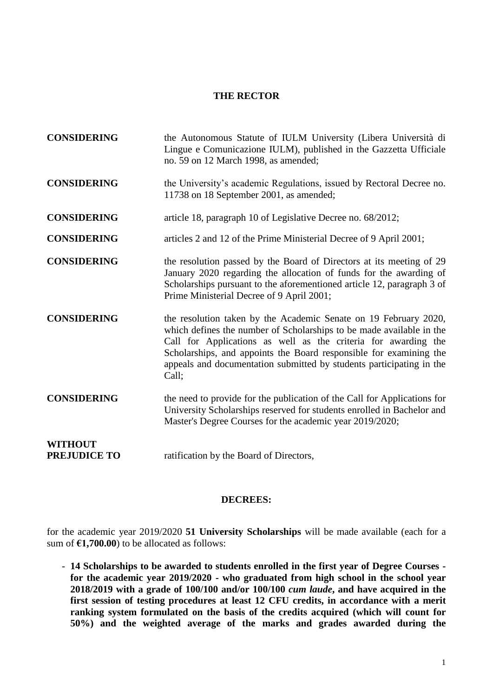#### **THE RECTOR**

| <b>CONSIDERING</b>                    | the Autonomous Statute of IULM University (Libera Università di<br>Lingue e Comunicazione IULM), published in the Gazzetta Ufficiale<br>no. 59 on 12 March 1998, as amended;                                                                                                                                                                                      |
|---------------------------------------|-------------------------------------------------------------------------------------------------------------------------------------------------------------------------------------------------------------------------------------------------------------------------------------------------------------------------------------------------------------------|
| <b>CONSIDERING</b>                    | the University's academic Regulations, issued by Rectoral Decree no.<br>11738 on 18 September 2001, as amended;                                                                                                                                                                                                                                                   |
| <b>CONSIDERING</b>                    | article 18, paragraph 10 of Legislative Decree no. 68/2012;                                                                                                                                                                                                                                                                                                       |
| <b>CONSIDERING</b>                    | articles 2 and 12 of the Prime Ministerial Decree of 9 April 2001;                                                                                                                                                                                                                                                                                                |
| <b>CONSIDERING</b>                    | the resolution passed by the Board of Directors at its meeting of 29<br>January 2020 regarding the allocation of funds for the awarding of<br>Scholarships pursuant to the aforementioned article 12, paragraph 3 of<br>Prime Ministerial Decree of 9 April 2001;                                                                                                 |
| <b>CONSIDERING</b>                    | the resolution taken by the Academic Senate on 19 February 2020,<br>which defines the number of Scholarships to be made available in the<br>Call for Applications as well as the criteria for awarding the<br>Scholarships, and appoints the Board responsible for examining the<br>appeals and documentation submitted by students participating in the<br>Call; |
| <b>CONSIDERING</b>                    | the need to provide for the publication of the Call for Applications for<br>University Scholarships reserved for students enrolled in Bachelor and<br>Master's Degree Courses for the academic year 2019/2020;                                                                                                                                                    |
| <b>WITHOUT</b><br><b>PREJUDICE TO</b> | ratification by the Board of Directors,                                                                                                                                                                                                                                                                                                                           |

#### **DECREES:**

for the academic year 2019/2020 **51 University Scholarships** will be made available (each for a sum of **€1,700.00**) to be allocated as follows:

- **14 Scholarships to be awarded to students enrolled in the first year of Degree Courses for the academic year 2019/2020 - who graduated from high school in the school year 2018/2019 with a grade of 100/100 and/or 100/100** *cum laude***, and have acquired in the first session of testing procedures at least 12 CFU credits, in accordance with a merit ranking system formulated on the basis of the credits acquired (which will count for 50%) and the weighted average of the marks and grades awarded during the**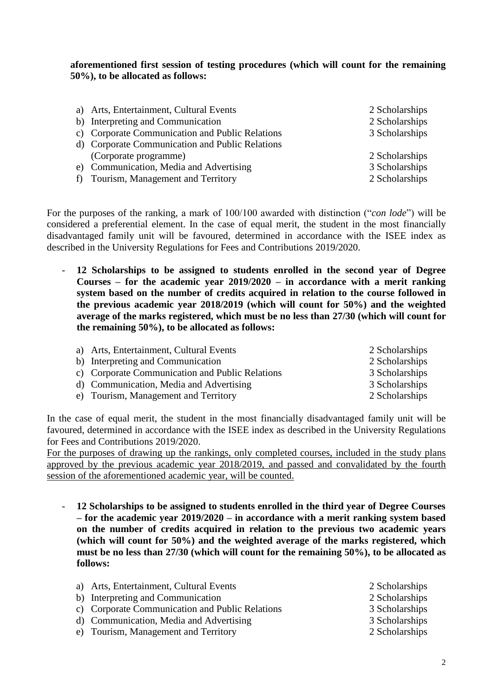**aforementioned first session of testing procedures (which will count for the remaining 50%), to be allocated as follows:**

|   | a) Arts, Entertainment, Cultural Events         | 2 Scholarships |
|---|-------------------------------------------------|----------------|
|   | b) Interpreting and Communication               | 2 Scholarships |
|   | c) Corporate Communication and Public Relations | 3 Scholarships |
|   | d) Corporate Communication and Public Relations |                |
|   | (Corporate programme)                           | 2 Scholarships |
|   | e) Communication, Media and Advertising         | 3 Scholarships |
| f | Tourism, Management and Territory               | 2 Scholarships |
|   |                                                 |                |

For the purposes of the ranking, a mark of 100/100 awarded with distinction ("*con lode*") will be considered a preferential element. In the case of equal merit, the student in the most financially disadvantaged family unit will be favoured, determined in accordance with the ISEE index as described in the University Regulations for Fees and Contributions 2019/2020.

- **12 Scholarships to be assigned to students enrolled in the second year of Degree Courses – for the academic year 2019/2020 – in accordance with a merit ranking system based on the number of credits acquired in relation to the course followed in the previous academic year 2018/2019 (which will count for 50%) and the weighted average of the marks registered, which must be no less than 27/30 (which will count for the remaining 50%), to be allocated as follows:**
	- a) Arts, Entertainment, Cultural Events 2 Scholarships b) Interpreting and Communication 2 Scholarships c) Corporate Communication and Public Relations 3 Scholarships d) Communication, Media and Advertising 3 Scholarships e) Tourism, Management and Territory 2 Scholarships

In the case of equal merit, the student in the most financially disadvantaged family unit will be favoured, determined in accordance with the ISEE index as described in the University Regulations for Fees and Contributions 2019/2020.

For the purposes of drawing up the rankings, only completed courses, included in the study plans approved by the previous academic year 2018/2019, and passed and convalidated by the fourth session of the aforementioned academic year, will be counted.

- **12 Scholarships to be assigned to students enrolled in the third year of Degree Courses – for the academic year 2019/2020 – in accordance with a merit ranking system based on the number of credits acquired in relation to the previous two academic years (which will count for 50%) and the weighted average of the marks registered, which must be no less than 27/30 (which will count for the remaining 50%), to be allocated as follows:**

| a) Arts, Entertainment, Cultural Events         | 2 Scholarships |
|-------------------------------------------------|----------------|
| b) Interpreting and Communication               | 2 Scholarships |
| c) Corporate Communication and Public Relations | 3 Scholarships |
| d) Communication, Media and Advertising         | 3 Scholarships |
| e) Tourism, Management and Territory            | 2 Scholarships |
|                                                 |                |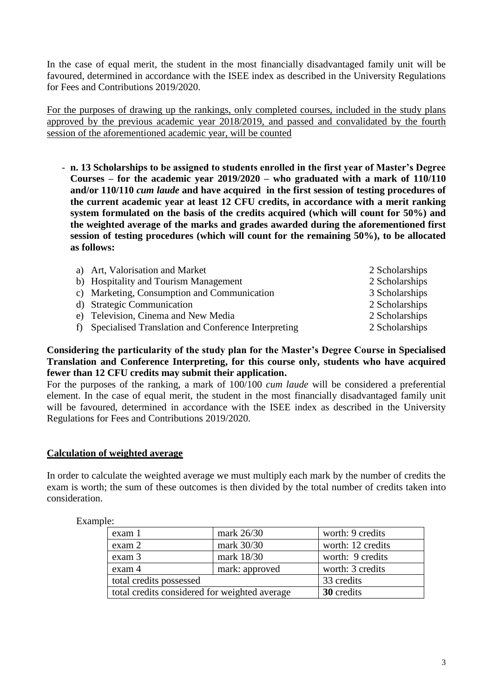In the case of equal merit, the student in the most financially disadvantaged family unit will be favoured, determined in accordance with the ISEE index as described in the University Regulations for Fees and Contributions 2019/2020.

For the purposes of drawing up the rankings, only completed courses, included in the study plans approved by the previous academic year 2018/2019, and passed and convalidated by the fourth session of the aforementioned academic year, will be counted

- **n. 13 Scholarships to be assigned to students enrolled in the first year of Master's Degree Courses – for the academic year 2019/2020 – who graduated with a mark of 110/110 and/or 110/110** *cum laude* **and have acquired in the first session of testing procedures of the current academic year at least 12 CFU credits, in accordance with a merit ranking system formulated on the basis of the credits acquired (which will count for 50%) and the weighted average of the marks and grades awarded during the aforementioned first session of testing procedures (which will count for the remaining 50%), to be allocated as follows:**

| a) Art, Valorisation and Market                        | 2 Scholarships |
|--------------------------------------------------------|----------------|
| b) Hospitality and Tourism Management                  | 2 Scholarships |
| c) Marketing, Consumption and Communication            | 3 Scholarships |
| d) Strategic Communication                             | 2 Scholarships |
| e) Television, Cinema and New Media                    | 2 Scholarships |
| f) Specialised Translation and Conference Interpreting | 2 Scholarships |

### **Considering the particularity of the study plan for the Master's Degree Course in Specialised Translation and Conference Interpreting, for this course only, students who have acquired fewer than 12 CFU credits may submit their application.**

For the purposes of the ranking, a mark of 100/100 *cum laude* will be considered a preferential element. In the case of equal merit, the student in the most financially disadvantaged family unit will be favoured, determined in accordance with the ISEE index as described in the University Regulations for Fees and Contributions 2019/2020.

## **Calculation of weighted average**

In order to calculate the weighted average we must multiply each mark by the number of credits the exam is worth; the sum of these outcomes is then divided by the total number of credits taken into consideration.

| exam 1                                        | mark 26/30     | worth: 9 credits  |
|-----------------------------------------------|----------------|-------------------|
| exam 2                                        | mark 30/30     | worth: 12 credits |
| exam 3                                        | mark 18/30     | worth: 9 credits  |
| exam 4                                        | mark: approved | worth: 3 credits  |
| total credits possessed                       |                | 33 credits        |
| total credits considered for weighted average |                | 30 credits        |

Example: